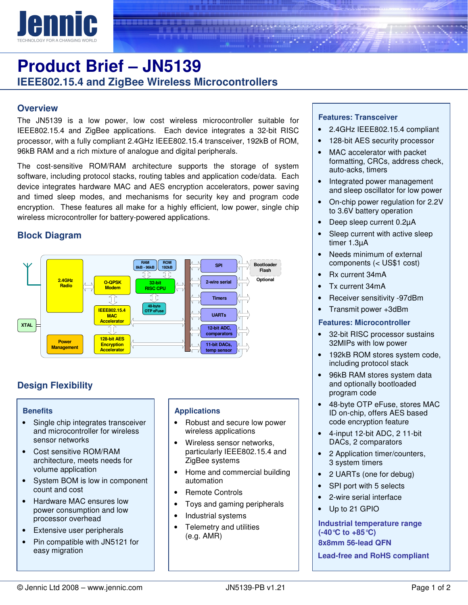

# **Product Brief – JN5139 IEEE802.15.4 and ZigBee Wireless Microcontrollers**

## **Overview**

The JN5139 is a low power, low cost wireless microcontroller suitable for IEEE802.15.4 and ZigBee applications. Each device integrates a 32-bit RISC processor, with a fully compliant 2.4GHz IEEE802.15.4 transceiver, 192kB of ROM, 96kB RAM and a rich mixture of analogue and digital peripherals.

The cost-sensitive ROM/RAM architecture supports the storage of system software, including protocol stacks, routing tables and application code/data. Each device integrates hardware MAC and AES encryption accelerators, power saving and timed sleep modes, and mechanisms for security key and program code encryption. These features all make for a highly efficient, low power, single chip wireless microcontroller for battery-powered applications.

# **Block Diagram**



# **Design Flexibility**

#### **Benefits**

- Single chip integrates transceiver and microcontroller for wireless sensor networks
- Cost sensitive ROM/RAM architecture, meets needs for volume application
- System BOM is low in component count and cost
- Hardware MAC ensures low power consumption and low processor overhead
- Extensive user peripherals
- Pin compatible with JN5121 for easy migration

#### **Applications**

- Robust and secure low power wireless applications
- Wireless sensor networks, particularly IEEE802.15.4 and ZigBee systems
- Home and commercial building automation
- Remote Controls
- Toys and gaming peripherals
- Industrial systems
- Telemetry and utilities (e.g. AMR)

#### **Features: Transceiver**

- 2.4GHz IEEE802.15.4 compliant
- 128-bit AES security processor
- MAC accelerator with packet formatting, CRCs, address check, auto-acks, timers
- Integrated power management and sleep oscillator for low power
- On-chip power regulation for 2.2V to 3.6V battery operation
- Deep sleep current 0.2µA
- Sleep current with active sleep timer 1.3µA
- Needs minimum of external components (< US\$1 cost)
- Rx current 34mA
- Tx current 34mA
- Receiver sensitivity -97dBm
- Transmit power +3dBm

#### **Features: Microcontroller**

- 32-bit RISC processor sustains 32MIPs with low power
- 192kB ROM stores system code, including protocol stack
- 96kB RAM stores system data and optionally bootloaded program code
- 48-byte OTP eFuse, stores MAC ID on-chip, offers AES based code encryption feature
- 4-input 12-bit ADC, 2 11-bit DACs, 2 comparators
- 2 Application timer/counters, 3 system timers
- 2 UARTs (one for debug)
- SPI port with 5 selects
- 2-wire serial interface
- Up to 21 GPIO

**Industrial temperature range (-40°C to +85°C) 8x8mm 56-lead QFN** 

**Lead-free and RoHS compliant**